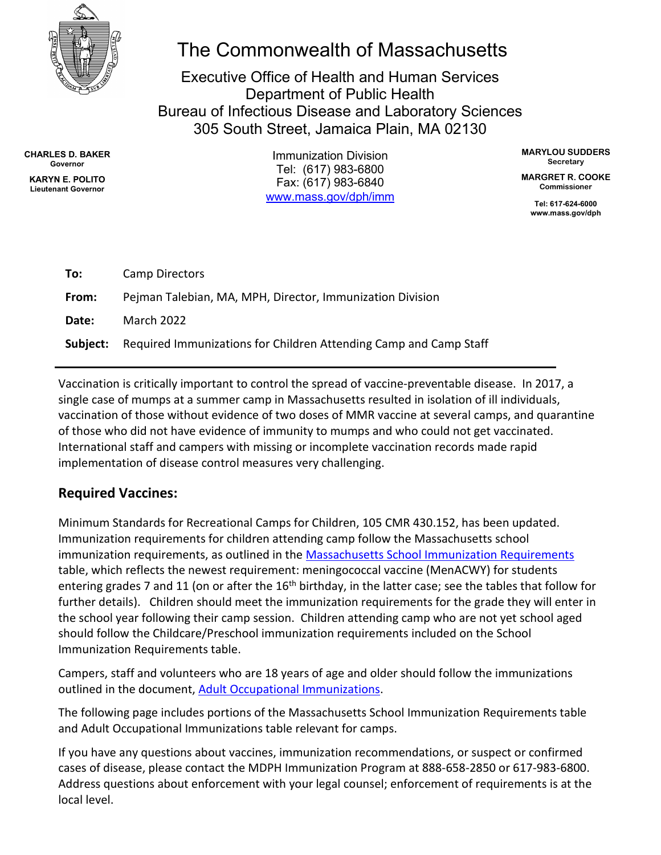

# The Commonwealth of Massachusetts

Executive Office of Health and Human Services Department of Public Health Bureau of Infectious Disease and Laboratory Sciences 305 South Street, Jamaica Plain, MA 02130

**CHARLES D. BAKER Governor**

**KARYN E. POLITO Lieutenant Governor**

Immunization Division Tel: (617) 983-6800 Fax: (617) 983-6840 [www.mass.gov/dph/imm](http://www.mass.gov/dph/imm) **MARYLOU SUDDERS Secretary**

**MARGRET R. COOKE Commissioner**

> **Tel: 617-624-6000 www.mass.gov/dph**

| To:      | Camp Directors                                                    |
|----------|-------------------------------------------------------------------|
| From:    | Pejman Talebian, MA, MPH, Director, Immunization Division         |
| Date:    | March 2022                                                        |
| Subject: | Required Immunizations for Children Attending Camp and Camp Staff |

Vaccination is critically important to control the spread of vaccine-preventable disease. In 2017, a single case of mumps at a summer camp in Massachusetts resulted in isolation of ill individuals, vaccination of those without evidence of two doses of MMR vaccine at several camps, and quarantine of those who did not have evidence of immunity to mumps and who could not get vaccinated. International staff and campers with missing or incomplete vaccination records made rapid implementation of disease control measures very challenging.

### **Required Vaccines:**

Minimum Standards for Recreational Camps for Children, 105 CMR 430.152, has been updated. Immunization requirements for children attending camp follow the Massachusetts school immunization requirements, as outlined in the [Massachusetts School Immunization Requirements](https://www.mass.gov/doc/immunization-requirements-for-school-entry-0/download) table, which reflects the newest requirement: meningococcal vaccine (MenACWY) for students entering grades 7 and 11 (on or after the 16<sup>th</sup> birthday, in the latter case; see the tables that follow for further details). Children should meet the immunization requirements for the grade they will enter in the school year following their camp session. Children attending camp who are not yet school aged should follow the Childcare/Preschool immunization requirements included on the School Immunization Requirements table.

Campers, staff and volunteers who are 18 years of age and older should follow the immunizations outlined in the document, [Adult Occupational Immunizations.](https://www.mass.gov/doc/adult-occupational-immunizations-massachusetts-recommendations-and-requirements-0/download)

The following page includes portions of the Massachusetts School Immunization Requirements table and Adult Occupational Immunizations table relevant for camps.

If you have any questions about vaccines, immunization recommendations, or suspect or confirmed cases of disease, please contact the MDPH Immunization Program at 888-658-2850 or 617-983-6800. Address questions about enforcement with your legal counsel; enforcement of requirements is at the local level.